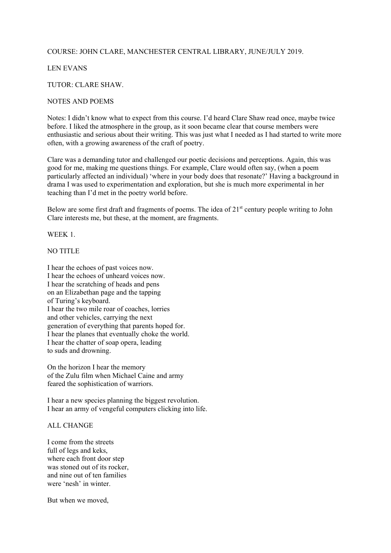## COURSE: JOHN CLARE, MANCHESTER CENTRAL LIBRARY, JUNE/JULY 2019.

# LEN EVANS

## TUTOR: CLARE SHAW.

### NOTES AND POEMS

Notes: I didn't know what to expect from this course. I'd heard Clare Shaw read once, maybe twice before. I liked the atmosphere in the group, as it soon became clear that course members were enthusiastic and serious about their writing. This was just what I needed as I had started to write more often, with a growing awareness of the craft of poetry.

Clare was a demanding tutor and challenged our poetic decisions and perceptions. Again, this was good for me, making me questions things. For example, Clare would often say, (when a poem particularly affected an individual) 'where in your body does that resonate?' Having a background in drama I was used to experimentation and exploration, but she is much more experimental in her teaching than I'd met in the poetry world before.

Below are some first draft and fragments of poems. The idea of  $21<sup>st</sup>$  century people writing to John Clare interests me, but these, at the moment, are fragments.

WEEK 1.

## NO TITLE

I hear the echoes of past voices now. I hear the echoes of unheard voices now. I hear the scratching of heads and pens on an Elizabethan page and the tapping of Turing's keyboard. I hear the two mile roar of coaches, lorries and other vehicles, carrying the next generation of everything that parents hoped for. I hear the planes that eventually choke the world. I hear the chatter of soap opera, leading to suds and drowning.

On the horizon I hear the memory of the Zulu film when Michael Caine and army feared the sophistication of warriors.

I hear a new species planning the biggest revolution. I hear an army of vengeful computers clicking into life.

#### ALL CHANGE

I come from the streets full of legs and keks. where each front door step was stoned out of its rocker. and nine out of ten families were 'nesh' in winter.

But when we moved,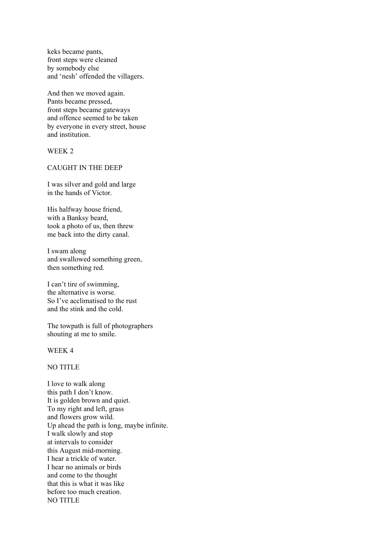keks became pants, front steps were cleaned by somebody else and 'nesh' offended the villagers.

And then we moved again. Pants became pressed, front steps became gateways and offence seemed to be taken by everyone in every street, house and institution.

## WEEK 2

#### CAUGHT IN THE DEEP

I was silver and gold and large in the hands of Victor.

His halfway house friend, with a Banksy beard, took a photo of us, then threw me back into the dirty canal.

I swam along and swallowed something green, then something red.

I can't tire of swimming, the alternative is worse. So I've acclimatised to the rust and the stink and the cold.

The towpath is full of photographers shouting at me to smile.

WEEK 4

# NO TITLE

I love to walk along this path I don't know. It is golden brown and quiet. To my right and left, grass and flowers grow wild. Up ahead the path is long, maybe infinite. I walk slowly and stop at intervals to consider this August mid-morning. I hear a trickle of water. I hear no animals or birds and come to the thought that this is what it was like before too much creation. NO TITLE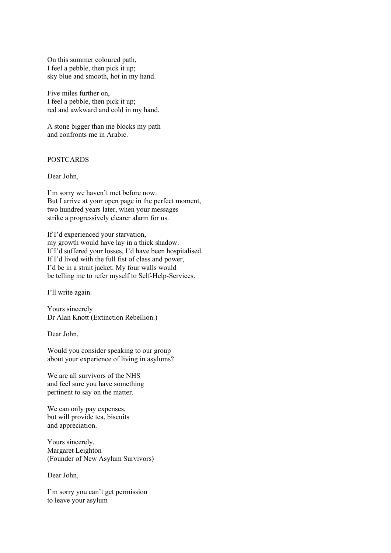On this summer coloured path, I feel a pebble, then pick it up; sky blue and smooth, hot in my hand.

Five miles further on, I feel a pebble, then pick it up; red and awkward and cold in my hand.

A stone bigger than me blocks my path and confronts me in Arabic.

## POSTCARDS

Dear John,

I'm sorry we haven't met before now. But I arrive at your open page in the perfect moment, two hundred years later, when your messages strike a progressively clearer alarm for us.

If I'd experienced your starvation, my growth would have lay in a thick shadow. If I'd suffered your losses, I'd have been hospitalised. If I'd lived with the full fist of class and power, I'd be in a strait jacket. My four walls would be telling me to refer myself to Self-Help-Services.

I'll write again.

Yours sincerely Dr Alan Knott (Extinction Rebellion.)

Dear John,

Would you consider speaking to our group about your experience of living in asylums?

We are all survivors of the NHS and feel sure you have something pertinent to say on the matter.

We can only pay expenses, but will provide tea, biscuits and appreciation.

Yours sincerely, Margaret Leighton (Founder of New Asylum Survivors)

Dear John,

I'm sorry you can't get permission to leave your asylum